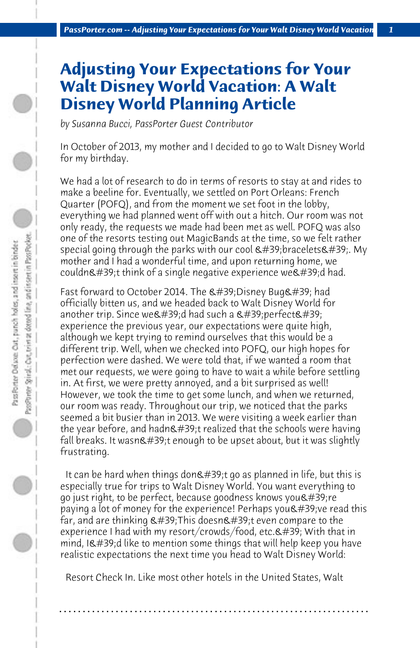## **Adjusting Your Expectations for Your Walt Disney World Vacation: A Walt Disney World Planning Article**

*by Susanna Bucci, PassPorter Guest Contributor*

In October of 2013, my mother and I decided to go to Walt Disney World for my birthday.

We had a lot of research to do in terms of resorts to stay at and rides to make a beeline for. Eventually, we settled on Port Orleans: French Quarter (POFQ), and from the moment we set foot in the lobby, everything we had planned went off with out a hitch. Our room was not only ready, the requests we made had been met as well. POFQ was also one of the resorts testing out MagicBands at the time, so we felt rather special going through the parks with our cool  $\&\#39$ ; bracelets $&\#39$ . My mother and I had a wonderful time, and upon returning home, we couldn't think of a single negative experience we'd had.

Fast forward to October 2014. The  $\&\#39$ ; Disney Bug $&\#39$ ; had officially bitten us, and we headed back to Walt Disney World for another trip. Since we & #39:d had such a  $\&$  #39:perfect  $\&$  #39: experience the previous year, our expectations were quite high, although we kept trying to remind ourselves that this would be a different trip. Well, when we checked into POFQ, our high hopes for perfection were dashed. We were told that, if we wanted a room that met our requests, we were going to have to wait a while before settling in. At first, we were pretty annoyed, and a bit surprised as well! However, we took the time to get some lunch, and when we returned, our room was ready. Throughout our trip, we noticed that the parks seemed a bit busier than in 2013. We were visiting a week earlier than the year before, and hadn $\&$ #39;t realized that the schools were having fall breaks. It wasn't enough to be upset about, but it was slightly frustrating.

It can be hard when things don $\&$ #39;t go as planned in life, but this is especially true for trips to Walt Disney World. You want everything to go just right, to be perfect, because goodness knows you  $\&\#39$ ; re paying a lot of money for the experience! Perhaps you  $\&\#39$ ; ve read this far, and are thinking  $\&\#39$ ;This doesn $\&\#39$ ;t even compare to the experience I had with my resort/crowds/food, etc. $\&$ #39; With that in  $mind$ , I'd like to mention some things that will help keep you have realistic expectations the next time you head to Walt Disney World:

 Resort Check In. Like most other hotels in the United States, Walt

**. . . . . . . . . . . . . . . . . . . . . . . . . . . . . . . . . . . . . . . . . . . . . . . . . . . . . . . . . . . . . . . . . .**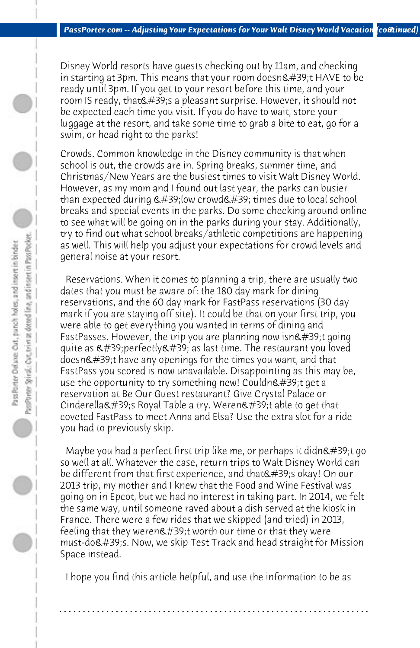Disney World resorts have guests checking out by 11am, and checking in starting at 3pm. This means that your room doesn't HAVE to be ready until 3pm. If you get to your resort before this time, and your room IS ready, that  $\&\#39$ ; a pleasant surprise. However, it should not be expected each time you visit. If you do have to wait, store your luggage at the resort, and take some time to grab a bite to eat, go for a swim, or head right to the parks!

Crowds. Common knowledge in the Disney community is that when school is out, the crowds are in. Spring breaks, summer time, and Christmas/New Years are the busiest times to visit Walt Disney World. However, as my mom and I found out last year, the parks can busier than expected during  $\&\#39$ ; low crowd $\&\#39$ ; times due to local school breaks and special events in the parks. Do some checking around online to see what will be going on in the parks during your stay. Additionally, try to find out what school breaks/athletic competitions are happening as well. This will help you adjust your expectations for crowd levels and general noise at your resort.

 Reservations. When it comes to planning a trip, there are usually two dates that you must be aware of: the 180 day mark for dining reservations, and the 60 day mark for FastPass reservations (30 day mark if you are staying off site). It could be that on your first trip, you were able to get everything you wanted in terms of dining and FastPasses. However, the trip you are planning now isn $\&\#39$ ;t going quite as  $\&\#39$ ; perfectly $&\#39$ ; as last time. The restaurant you loved doesn't have any openings for the times you want, and that FastPass you scored is now unavailable. Disappointing as this may be, use the opportunity to try something new! Couldn $\&\#39$ ;t get a reservation at Be Our Guest restaurant? Give Crystal Palace or Cinderella's Royal Table a try. Weren't able to get that coveted FastPass to meet Anna and Elsa? Use the extra slot for a ride you had to previously skip.

Maybe you had a perfect first trip like me, or perhaps it didn $\&\#39$ ;t go so well at all. Whatever the case, return trips to Walt Disney World can be different from that first experience, and that's okay! On our 2013 trip, my mother and I knew that the Food and Wine Festival was going on in Epcot, but we had no interest in taking part. In 2014, we felt the same way, until someone raved about a dish served at the kiosk in France. There were a few rides that we skipped (and tried) in 2013, feeling that they weren $\&$ #39;t worth our time or that they were must-do's. Now, we skip Test Track and head straight for Mission Space instead.

 I hope you find this article helpful, and use the information to be as

**. . . . . . . . . . . . . . . . . . . . . . . . . . . . . . . . . . . . . . . . . . . . . . . . . . . . . . . . . . . . . . . . . .**